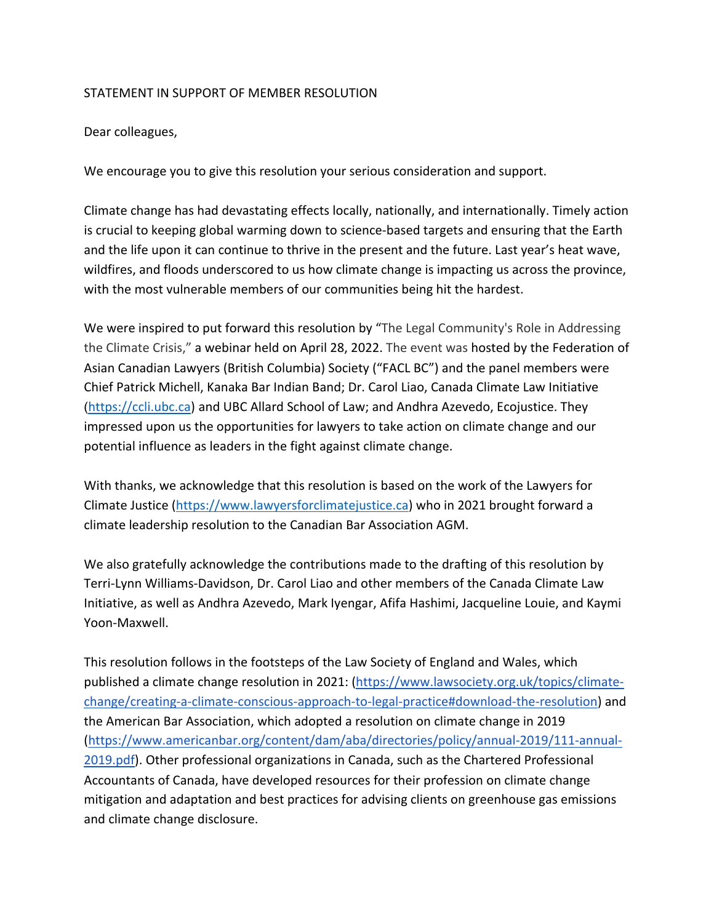## STATEMENT IN SUPPORT OF MEMBER RESOLUTION

Dear colleagues,

We encourage you to give this resolution your serious consideration and support.

Climate change has had devastating effects locally, nationally, and internationally. Timely action is crucial to keeping global warming down to science-based targets and ensuring that the Earth and the life upon it can continue to thrive in the present and the future. Last year's heat wave, wildfires, and floods underscored to us how climate change is impacting us across the province, with the most vulnerable members of our communities being hit the hardest.

We were inspired to put forward this resolution by "The Legal Community's Role in Addressing the Climate Crisis," a webinar held on April 28, 2022. The event was hosted by the Federation of Asian Canadian Lawyers (British Columbia) Society ("FACL BC") and the panel members were Chief Patrick Michell, Kanaka Bar Indian Band; Dr. Carol Liao, Canada Climate Law Initiative (https://ccli.ubc.ca) and UBC Allard School of Law; and Andhra Azevedo, Ecojustice. They impressed upon us the opportunities for lawyers to take action on climate change and our potential influence as leaders in the fight against climate change.

With thanks, we acknowledge that this resolution is based on the work of the Lawyers for Climate Justice (https://www.lawyersforclimatejustice.ca) who in 2021 brought forward a climate leadership resolution to the Canadian Bar Association AGM.

We also gratefully acknowledge the contributions made to the drafting of this resolution by Terri-Lynn Williams-Davidson, Dr. Carol Liao and other members of the Canada Climate Law Initiative, as well as Andhra Azevedo, Mark Iyengar, Afifa Hashimi, Jacqueline Louie, and Kaymi Yoon-Maxwell.

This resolution follows in the footsteps of the Law Society of England and Wales, which published a climate change resolution in 2021: (https://www.lawsociety.org.uk/topics/climatechange/creating-a-climate-conscious-approach-to-legal-practice#download-the-resolution) and the American Bar Association, which adopted a resolution on climate change in 2019 (https://www.americanbar.org/content/dam/aba/directories/policy/annual-2019/111-annual-2019.pdf). Other professional organizations in Canada, such as the Chartered Professional Accountants of Canada, have developed resources for their profession on climate change mitigation and adaptation and best practices for advising clients on greenhouse gas emissions and climate change disclosure.